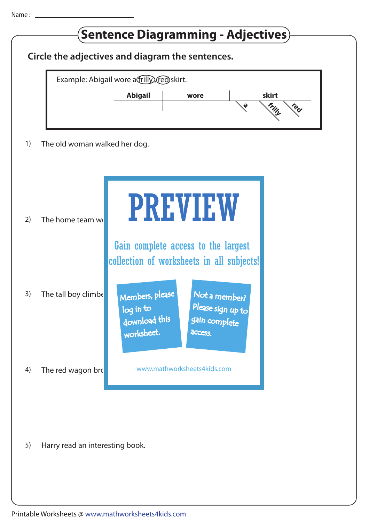